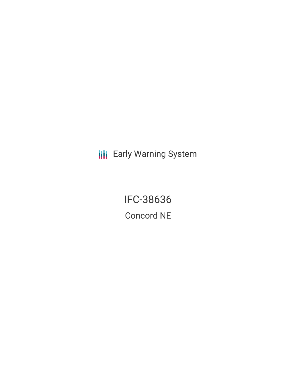**III** Early Warning System

IFC-38636 Concord NE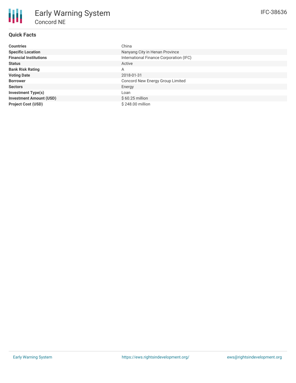# **Quick Facts**

| <b>Countries</b>               | China                                   |
|--------------------------------|-----------------------------------------|
| <b>Specific Location</b>       | Nanyang City in Henan Province          |
| <b>Financial Institutions</b>  | International Finance Corporation (IFC) |
| <b>Status</b>                  | Active                                  |
| <b>Bank Risk Rating</b>        | A                                       |
| <b>Voting Date</b>             | 2018-01-31                              |
| <b>Borrower</b>                | Concord New Energy Group Limited        |
| <b>Sectors</b>                 | Energy                                  |
| <b>Investment Type(s)</b>      | Loan                                    |
| <b>Investment Amount (USD)</b> | $$60.25$ million                        |
| <b>Project Cost (USD)</b>      | $$248.00$ million                       |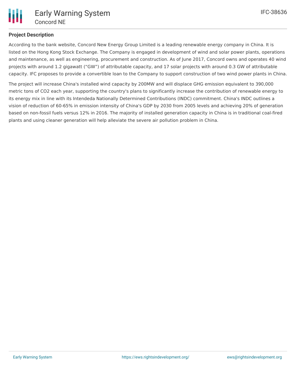

## **Project Description**

According to the bank website, Concord New Energy Group Limited is a leading renewable energy company in China. It is listed on the Hong Kong Stock Exchange. The Company is engaged in development of wind and solar power plants, operations and maintenance, as well as engineering, procurement and construction. As of June 2017, Concord owns and operates 40 wind projects with around 1.2 gigawatt ("GW") of attributable capacity, and 17 solar projects with around 0.3 GW of attributable capacity. IFC proposes to provide a convertible loan to the Company to support construction of two wind power plants in China.

The project will increase China's installed wind capacity by 200MW and will displace GHG emission equivalent to 390,000 metric tons of CO2 each year, supporting the country's plans to significantly increase the contribution of renewable energy to its energy mix in line with its Intendeda Nationally Determined Contributions (INDC) commitment. China's INDC outlines a vision of reduction of 60-65% in emission intensity of China's GDP by 2030 from 2005 levels and achieving 20% of generation based on non-fossil fuels versus 12% in 2016. The majority of installed generation capacity in China is in traditional coal-fired plants and using cleaner generation will help alleviate the severe air pollution problem in China.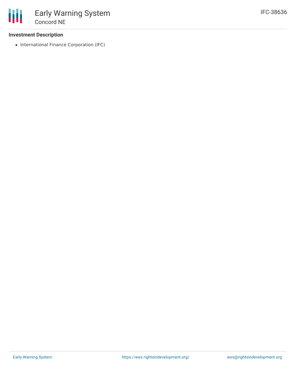#### **Investment Description**

• International Finance Corporation (IFC)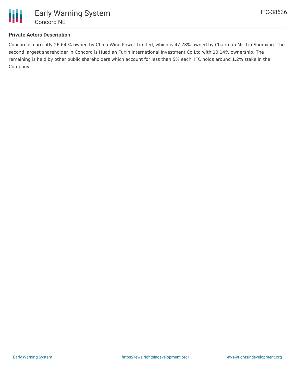

### **Private Actors Description**

Concord is currently 26.64 % owned by China Wind Power Limited, which is 47.78% owned by Chairman Mr. Liu Shunxing. The second largest shareholder in Concord is Huadian Fuxin International Investment Co Ltd with 10.14% ownership. The remaining is held by other public shareholders which account for less than 5% each. IFC holds around 1.2% stake in the Company.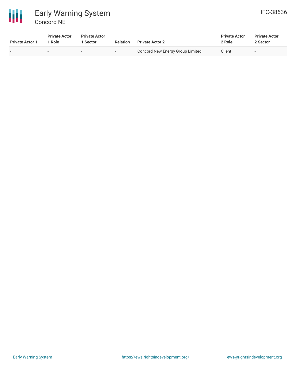

# Early Warning System Concord NE

| <b>Private Actor 1</b> | <b>Private Actor</b><br>* Role | <b>Private Actor</b><br>Sector | <b>Relation</b>          | <b>Private Actor 2</b>           | <b>Private Actor</b><br>2 Role | <b>Private Actor</b><br>2 Sector |
|------------------------|--------------------------------|--------------------------------|--------------------------|----------------------------------|--------------------------------|----------------------------------|
| . .                    | $\sim$                         | -                              | $\overline{\phantom{a}}$ | Concord New Energy Group Limited | Client                         |                                  |